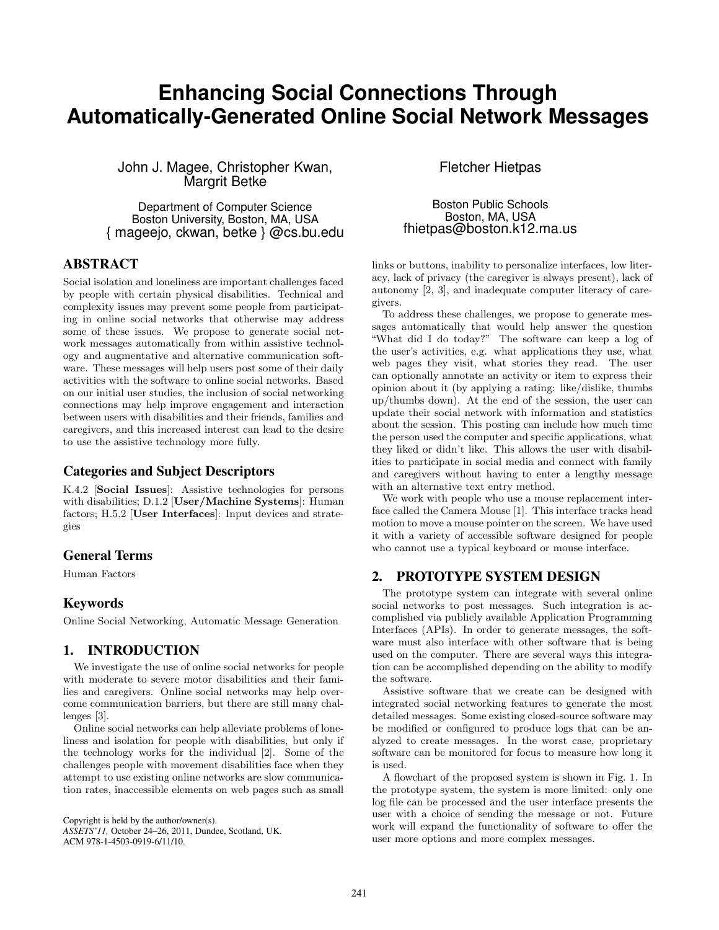# **Enhancing Social Connections Through Automatically-Generated Online Social Network Messages**

John J. Magee, Christopher Kwan, Fletcher Hietpas Margrit Betke

Department of Computer Science Boston University, Boston, MA, USA { mageejo, ckwan, betke } @cs.bu.edu

## ABSTRACT

Social isolation and loneliness are important challenges faced by people with certain physical disabilities. Technical and complexity issues may prevent some people from participating in online social networks that otherwise may address some of these issues. We propose to generate social network messages automatically from within assistive technology and augmentative and alternative communication software. These messages will help users post some of their daily activities with the software to online social networks. Based on our initial user studies, the inclusion of social networking connections may help improve engagement and interaction between users with disabilities and their friends, families and caregivers, and this increased interest can lead to the desire to use the assistive technology more fully.

## Categories and Subject Descriptors

K.4.2 [**Social Issues**]: Assistive technologies for persons with disabilities; D.1.2 [**User/Machine Systems**]: Human factors; H.5.2 [**User Interfaces**]: Input devices and strategies

## General Terms

Human Factors

### Keywords

Online Social Networking, Automatic Message Generation

### 1. INTRODUCTION

We investigate the use of online social networks for people with moderate to severe motor disabilities and their families and caregivers. Online social networks may help overcome communication barriers, but there are still many challenges [3].

Online social networks can help alleviate problems of loneliness and isolation for people with disabilities, but only if the technology works for the individual [2]. Some of the challenges people with movement disabilities face when they attempt to use existing online networks are slow communication rates, inaccessible elements on web pages such as small

Copyright is held by the author/owner(s). *ASSETS'11,* October 24–26, 2011, Dundee, Scotland, UK. ACM 978-1-4503-0919-6/11/10.

 Boston Public Schools Boston, MA, USA fhietpas@boston.k12.ma.us

links or buttons, inability to personalize interfaces, low literacy, lack of privacy (the caregiver is always present), lack of autonomy [2, 3], and inadequate computer literacy of caregivers.

To address these challenges, we propose to generate messages automatically that would help answer the question "What did I do today?" The software can keep a log of the user's activities, e.g. what applications they use, what web pages they visit, what stories they read. The user can optionally annotate an activity or item to express their opinion about it (by applying a rating: like/dislike, thumbs up/thumbs down). At the end of the session, the user can update their social network with information and statistics about the session. This posting can include how much time the person used the computer and specific applications, what they liked or didn't like. This allows the user with disabilities to participate in social media and connect with family and caregivers without having to enter a lengthy message with an alternative text entry method.

We work with people who use a mouse replacement interface called the Camera Mouse [1]. This interface tracks head motion to move a mouse pointer on the screen. We have used it with a variety of accessible software designed for people who cannot use a typical keyboard or mouse interface.

#### 2. PROTOTYPE SYSTEM DESIGN

The prototype system can integrate with several online social networks to post messages. Such integration is accomplished via publicly available Application Programming Interfaces (APIs). In order to generate messages, the software must also interface with other software that is being used on the computer. There are several ways this integration can be accomplished depending on the ability to modify the software.

Assistive software that we create can be designed with integrated social networking features to generate the most detailed messages. Some existing closed-source software may be modified or configured to produce logs that can be analyzed to create messages. In the worst case, proprietary software can be monitored for focus to measure how long it is used.

A flowchart of the proposed system is shown in Fig. 1. In the prototype system, the system is more limited: only one log file can be processed and the user interface presents the user with a choice of sending the message or not. Future work will expand the functionality of software to offer the user more options and more complex messages.